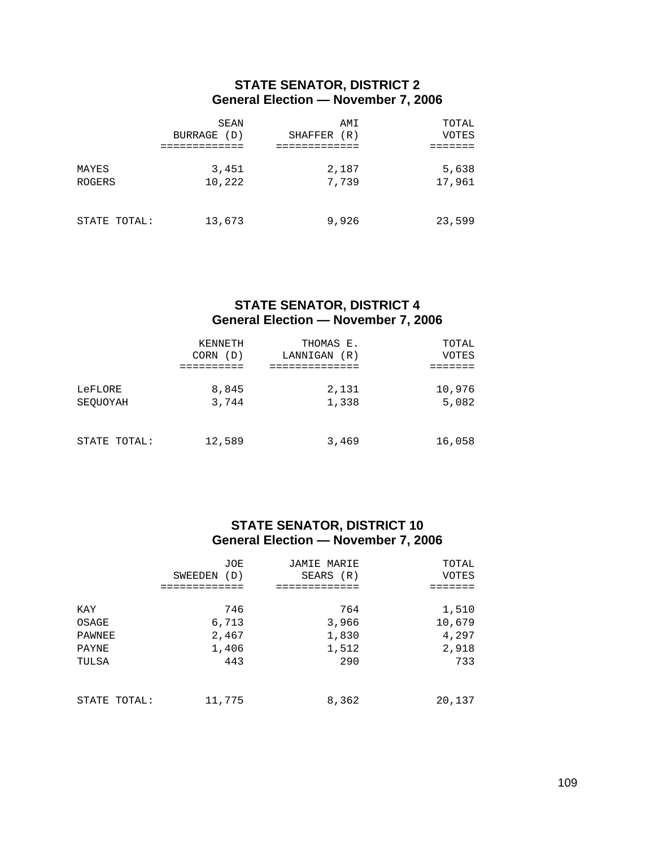### **STATE SENATOR, DISTRICT 2 General Election — November 7, 2006**

|                 | SEAN<br>BURRAGE<br>(D) | AMI<br>SHAFFER<br>(R) | TOTAL<br>VOTES  |
|-----------------|------------------------|-----------------------|-----------------|
| MAYES<br>ROGERS | 3,451<br>10,222        | 2,187<br>7,739        | 5,638<br>17,961 |
| STATE TOTAL:    | 13,673                 | 9,926                 | 23,599          |

## **STATE SENATOR, DISTRICT 4 General Election — November 7, 2006**

|                     | KENNETH<br>CORN<br>(D) | THOMAS E.<br>LANNIGAN<br>(R) | TOTAL<br>VOTES  |
|---------------------|------------------------|------------------------------|-----------------|
| LeFLORE<br>SEOUOYAH | 8,845<br>3,744         | 2,131<br>1,338               | 10,976<br>5,082 |
| STATE TOTAL:        | 12,589                 | 3,469                        | 16,058          |

# **STATE SENATOR, DISTRICT 10 General Election — November 7, 2006**

|              | JOE<br>(D)<br>SWEEDEN | JAMIE MARIE<br>SEARS (R) | TOTAL<br>VOTES |
|--------------|-----------------------|--------------------------|----------------|
|              |                       |                          |                |
| KAY          | 746                   | 764                      | 1,510          |
| OSAGE        | 6,713                 | 3,966                    | 10,679         |
| PAWNEE       | 2,467                 | 1,830                    | 4,297          |
| PAYNE        | 1,406                 | 1,512                    | 2,918          |
| TULSA        | 443                   | 290                      | 733            |
| STATE TOTAL: | 11,775                | 8,362                    | 20,137         |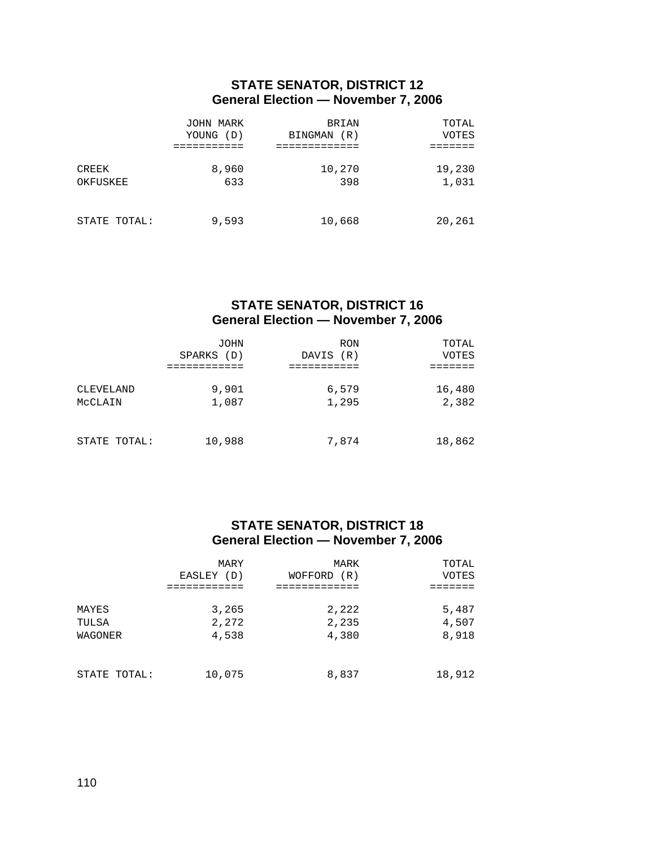## **STATE SENATOR, DISTRICT 12 General Election — November 7, 2006**

|                   | JOHN MARK<br>YOUNG (D) | <b>BRIAN</b><br>(R)<br>BINGMAN | TOTAL<br>VOTES  |
|-------------------|------------------------|--------------------------------|-----------------|
| CREEK<br>OKFUSKEE | 8,960<br>633           | 10,270<br>398                  | 19,230<br>1,031 |
| STATE TOTAL:      | 9,593                  | 10,668                         | 20,261          |

## **STATE SENATOR, DISTRICT 16 General Election — November 7, 2006**

|                      | JOHN<br>SPARKS (D) | <b>RON</b><br>(R)<br>DAVIS | TOTAL<br>VOTES  |
|----------------------|--------------------|----------------------------|-----------------|
| CLEVELAND<br>MCCLAIN | 9,901<br>1,087     | 6,579<br>1,295             | 16,480<br>2,382 |
| STATE TOTAL:         | 10,988             | 7,874                      | 18,862          |

### **STATE SENATOR, DISTRICT 18 General Election — November 7, 2006**

|                           | MARY<br>EASLEY (D)      | MARK<br>WOFFORD<br>(R)  | TOTAL<br>VOTES          |
|---------------------------|-------------------------|-------------------------|-------------------------|
| MAYES<br>TULSA<br>WAGONER | 3,265<br>2,272<br>4,538 | 2,222<br>2,235<br>4,380 | 5,487<br>4,507<br>8,918 |
| STATE TOTAL:              | 10,075                  | 8,837                   | 18,912                  |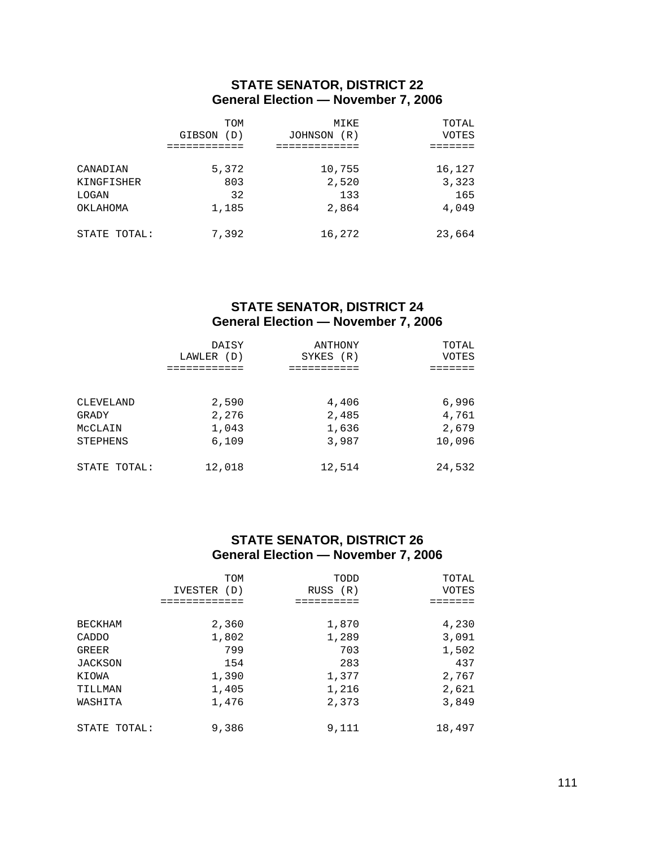### **STATE SENATOR, DISTRICT 22 General Election — November 7, 2006**

|              | TOM<br>GIBSON<br>(D) | MIKE<br>JOHNSON<br>(R) | TOTAL<br>VOTES |
|--------------|----------------------|------------------------|----------------|
|              |                      |                        |                |
| CANADIAN     | 5,372                | 10,755                 | 16,127         |
| KINGFISHER   | 803                  | 2,520                  | 3,323          |
| LOGAN        | 32                   | 133                    | 165            |
| OKLAHOMA     | 1,185                | 2,864                  | 4,049          |
| STATE TOTAL: | 7,392                | 16,272                 | 23,664         |

### **STATE SENATOR, DISTRICT 24 General Election — November 7, 2006**

|              | DAISY      | ANTHONY   | TOTAL  |
|--------------|------------|-----------|--------|
|              | LAWLER (D) | SYKES (R) | VOTES  |
| CLEVELAND    | 2,590      | 4,406     | 6,996  |
| GRADY        | 2,276      | 2,485     | 4,761  |
| MCCLAIN      | 1,043      | 1,636     | 2,679  |
| STEPHENS     | 6,109      | 3,987     | 10,096 |
| STATE TOTAL: | 12,018     | 12,514    | 24,532 |

### **STATE SENATOR, DISTRICT 26 General Election — November 7, 2006**

|                | TOM<br>(D)<br>IVESTER | TODD<br>RUSS (R) | TOTAL<br>VOTES |
|----------------|-----------------------|------------------|----------------|
|                |                       |                  |                |
| <b>BECKHAM</b> | 2,360                 | 1,870            | 4,230          |
| CADDO          | 1,802                 | 1,289            | 3,091          |
| <b>GREER</b>   | 799                   | 703              | 1,502          |
| <b>JACKSON</b> | 154                   | 283              | 437            |
| KIOWA          | 1,390                 | 1,377            | 2,767          |
| TILLMAN        | 1,405                 | 1,216            | 2,621          |
| WASHITA        | 1,476                 | 2,373            | 3,849          |
| STATE TOTAL:   | 9,386                 | 9,111            | 18,497         |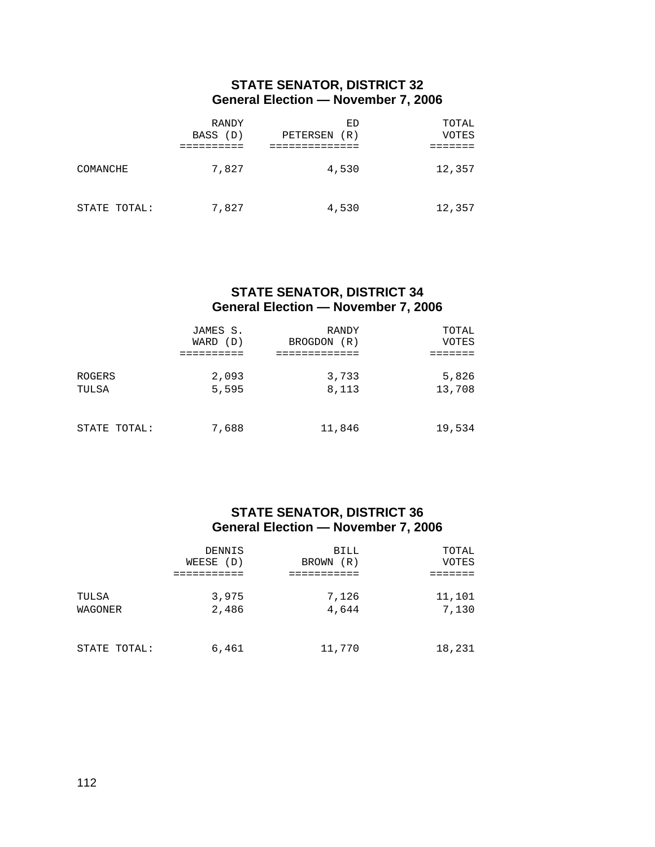### **STATE SENATOR, DISTRICT 32 General Election — November 7, 2006**

|              | RANDY<br>BASS (D) | ED<br>PETERSEN<br>(R) | TOTAL<br>VOTES |
|--------------|-------------------|-----------------------|----------------|
| COMANCHE     | 7,827             | 4,530                 | 12,357         |
| STATE TOTAL: | 7,827             | 4,530                 | 12,357         |

#### **STATE SENATOR, DISTRICT 34 General Election — November 7, 2006**

|                 | JAMES S.<br>WARD<br>(D) | RANDY<br>(R)<br><b>BROGDON</b> | TOTAL<br>VOTES  |
|-----------------|-------------------------|--------------------------------|-----------------|
|                 |                         |                                |                 |
| ROGERS<br>TULSA | 2,093<br>5,595          | 3,733<br>8,113                 | 5,826<br>13,708 |
| STATE TOTAL:    | 7,688                   | 11,846                         | 19,534          |

### **STATE SENATOR, DISTRICT 36 General Election — November 7, 2006**

|              | DENNIS    | BILL         | TOTAL  |
|--------------|-----------|--------------|--------|
|              | WEESE (D) | (R)<br>BROWN | VOTES  |
|              |           |              |        |
| TULSA        | 3,975     | 7,126        | 11,101 |
| WAGONER      | 2,486     | 4,644        | 7,130  |
|              |           |              |        |
| STATE TOTAL: | 6,461     | 11,770       | 18,231 |
|              |           |              |        |